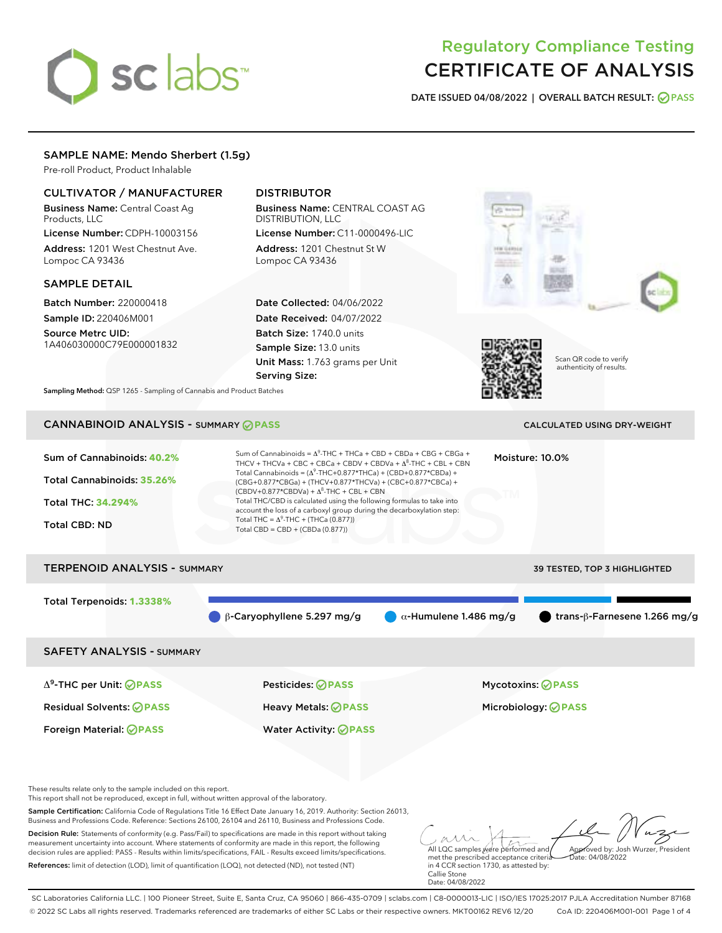# sclabs<sup>\*</sup>

# Regulatory Compliance Testing CERTIFICATE OF ANALYSIS

DATE ISSUED 04/08/2022 | OVERALL BATCH RESULT: @ PASS

# SAMPLE NAME: Mendo Sherbert (1.5g)

Pre-roll Product, Product Inhalable

# CULTIVATOR / MANUFACTURER

Business Name: Central Coast Ag Products, LLC License Number: CDPH-10003156

Address: 1201 West Chestnut Ave. Lompoc CA 93436

#### SAMPLE DETAIL

Batch Number: 220000418 Sample ID: 220406M001

Source Metrc UID: 1A406030000C79E000001832

# DISTRIBUTOR

Business Name: CENTRAL COAST AG DISTRIBUTION, LLC License Number: C11-0000496-LIC

Address: 1201 Chestnut St W Lompoc CA 93436

Date Collected: 04/06/2022 Date Received: 04/07/2022 Batch Size: 1740.0 units Sample Size: 13.0 units Unit Mass: 1.763 grams per Unit Serving Size:





Scan QR code to verify authenticity of results.

Sampling Method: QSP 1265 - Sampling of Cannabis and Product Batches

# CANNABINOID ANALYSIS - SUMMARY **PASS** CALCULATED USING DRY-WEIGHT

| Sum of Cannabinoids: 40.2%<br>Total Cannabinoids: 35.26%<br><b>Total THC: 34.294%</b><br><b>Total CBD: ND</b> | Sum of Cannabinoids = $\Delta^9$ -THC + THCa + CBD + CBDa + CBG + CBGa +<br>THCV + THCVa + CBC + CBCa + CBDV + CBDVa + $\Delta^8$ -THC + CBL + CBN<br>Total Cannabinoids = $(\Delta^9$ -THC+0.877*THCa) + (CBD+0.877*CBDa) +<br>(CBG+0.877*CBGa) + (THCV+0.877*THCVa) + (CBC+0.877*CBCa) +<br>$(CBDV+0.877*CBDVa) + \Delta^8$ -THC + CBL + CBN<br>Total THC/CBD is calculated using the following formulas to take into<br>account the loss of a carboxyl group during the decarboxylation step:<br>Total THC = $\Delta^9$ -THC + (THCa (0.877))<br>Total $CBD = CBD + (CBDa (0.877))$ |                               | Moisture: 10.0%                      |
|---------------------------------------------------------------------------------------------------------------|----------------------------------------------------------------------------------------------------------------------------------------------------------------------------------------------------------------------------------------------------------------------------------------------------------------------------------------------------------------------------------------------------------------------------------------------------------------------------------------------------------------------------------------------------------------------------------------|-------------------------------|--------------------------------------|
| <b>TERPENOID ANALYSIS - SUMMARY</b>                                                                           |                                                                                                                                                                                                                                                                                                                                                                                                                                                                                                                                                                                        |                               | <b>39 TESTED, TOP 3 HIGHLIGHTED</b>  |
| Total Terpenoids: 1.3338%                                                                                     | $\beta$ -Caryophyllene 5.297 mg/g                                                                                                                                                                                                                                                                                                                                                                                                                                                                                                                                                      | $\alpha$ -Humulene 1.486 mg/g | trans- $\beta$ -Farnesene 1.266 mg/g |
| <b>SAFETY ANALYSIS - SUMMARY</b>                                                                              |                                                                                                                                                                                                                                                                                                                                                                                                                                                                                                                                                                                        |                               |                                      |
| $\Delta^9$ -THC per Unit: <b>PASS</b>                                                                         | Pesticides: ⊘PASS                                                                                                                                                                                                                                                                                                                                                                                                                                                                                                                                                                      |                               | <b>Mycotoxins: ⊘PASS</b>             |
| <b>Residual Solvents: ⊘PASS</b>                                                                               | Heavy Metals: <b>OPASS</b>                                                                                                                                                                                                                                                                                                                                                                                                                                                                                                                                                             |                               | Microbiology: <b>⊘PASS</b>           |
| Foreign Material: <b>⊘ PASS</b>                                                                               | <b>Water Activity: ⊘PASS</b>                                                                                                                                                                                                                                                                                                                                                                                                                                                                                                                                                           |                               |                                      |

These results relate only to the sample included on this report.

This report shall not be reproduced, except in full, without written approval of the laboratory.

Sample Certification: California Code of Regulations Title 16 Effect Date January 16, 2019. Authority: Section 26013, Business and Professions Code. Reference: Sections 26100, 26104 and 26110, Business and Professions Code.

Decision Rule: Statements of conformity (e.g. Pass/Fail) to specifications are made in this report without taking measurement uncertainty into account. Where statements of conformity are made in this report, the following decision rules are applied: PASS - Results within limits/specifications, FAIL - Results exceed limits/specifications. References: limit of detection (LOD), limit of quantification (LOQ), not detected (ND), not tested (NT)

All LQC samples were performed and Approved by: Josh Wurzer, President  $\frac{1}{2}$  04/08/2022

met the prescribed acceptance criteria in 4 CCR section 1730, as attested by: Callie Stone Date: 04/08/2022

SC Laboratories California LLC. | 100 Pioneer Street, Suite E, Santa Cruz, CA 95060 | 866-435-0709 | sclabs.com | C8-0000013-LIC | ISO/IES 17025:2017 PJLA Accreditation Number 87168 © 2022 SC Labs all rights reserved. Trademarks referenced are trademarks of either SC Labs or their respective owners. MKT00162 REV6 12/20 CoA ID: 220406M001-001 Page 1 of 4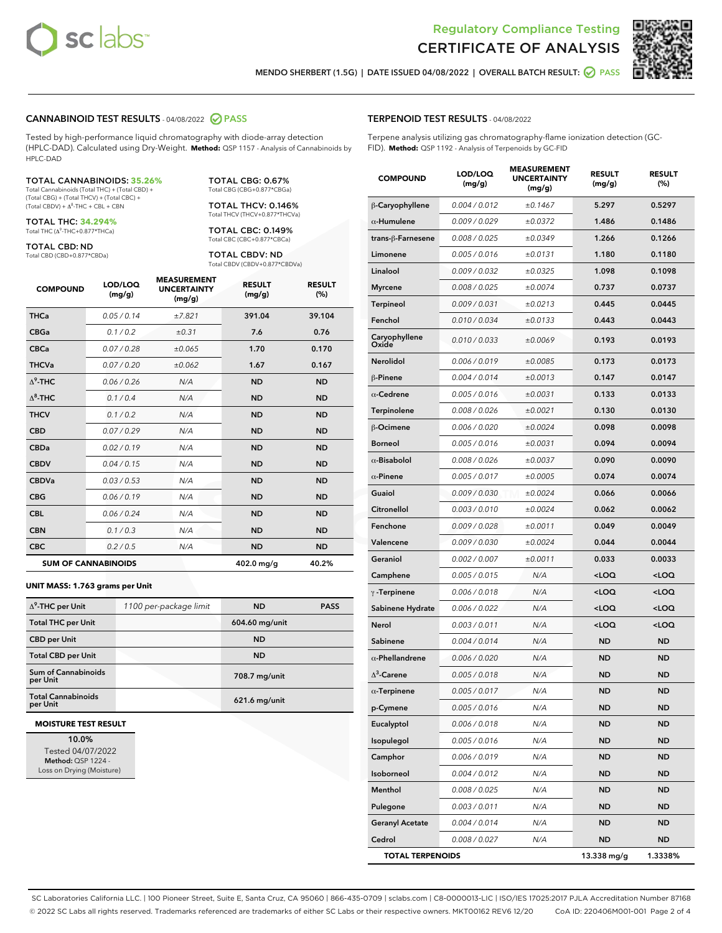



MENDO SHERBERT (1.5G) | DATE ISSUED 04/08/2022 | OVERALL BATCH RESULT:  $\bigcirc$  PASS

#### CANNABINOID TEST RESULTS - 04/08/2022 2 PASS

Tested by high-performance liquid chromatography with diode-array detection (HPLC-DAD). Calculated using Dry-Weight. **Method:** QSP 1157 - Analysis of Cannabinoids by HPLC-DAD

#### TOTAL CANNABINOIDS: **35.26%**

Total Cannabinoids (Total THC) + (Total CBD) + (Total CBG) + (Total THCV) + (Total CBC) +  $(Total$  CBDV) +  $\Delta$ <sup>8</sup>-THC + CBL + CBN

TOTAL THC: **34.294%** Total THC (Δ<sup>9</sup> -THC+0.877\*THCa)

TOTAL CBD: ND

Total CBD (CBD+0.877\*CBDa)

TOTAL CBG: 0.67% Total CBG (CBG+0.877\*CBGa)

TOTAL THCV: 0.146% Total THCV (THCV+0.877\*THCVa)

TOTAL CBC: 0.149% Total CBC (CBC+0.877\*CBCa)

TOTAL CBDV: ND Total CBDV (CBDV+0.877\*CBDVa)

| <b>COMPOUND</b> | LOD/LOQ<br>(mg/g)          | <b>MEASUREMENT</b><br><b>UNCERTAINTY</b><br>(mg/g) | <b>RESULT</b><br>(mg/g) | <b>RESULT</b><br>(%) |
|-----------------|----------------------------|----------------------------------------------------|-------------------------|----------------------|
| <b>THCa</b>     | 0.05 / 0.14                | ±7.821                                             | 391.04                  | 39.104               |
| <b>CBGa</b>     | 0.1/0.2                    | $\pm 0.31$                                         | 7.6                     | 0.76                 |
| <b>CBCa</b>     | 0.07 / 0.28                | ±0.065                                             | 1.70                    | 0.170                |
| <b>THCVa</b>    | 0.07/0.20                  | ±0.062                                             | 1.67                    | 0.167                |
| $\Delta^9$ -THC | 0.06 / 0.26                | N/A                                                | <b>ND</b>               | <b>ND</b>            |
| $\Delta^8$ -THC | 0.1 / 0.4                  | N/A                                                | <b>ND</b>               | <b>ND</b>            |
| <b>THCV</b>     | 0.1/0.2                    | N/A                                                | <b>ND</b>               | <b>ND</b>            |
| <b>CBD</b>      | 0.07/0.29                  | N/A                                                | <b>ND</b>               | <b>ND</b>            |
| <b>CBDa</b>     | 0.02/0.19                  | N/A                                                | <b>ND</b>               | <b>ND</b>            |
| <b>CBDV</b>     | 0.04/0.15                  | N/A                                                | <b>ND</b>               | <b>ND</b>            |
| <b>CBDVa</b>    | 0.03/0.53                  | N/A                                                | <b>ND</b>               | <b>ND</b>            |
| <b>CBG</b>      | 0.06/0.19                  | N/A                                                | <b>ND</b>               | <b>ND</b>            |
| <b>CBL</b>      | 0.06 / 0.24                | N/A                                                | <b>ND</b>               | <b>ND</b>            |
| <b>CBN</b>      | 0.1/0.3                    | N/A                                                | <b>ND</b>               | <b>ND</b>            |
| <b>CBC</b>      | 0.2 / 0.5                  | N/A                                                | <b>ND</b>               | <b>ND</b>            |
|                 | <b>SUM OF CANNABINOIDS</b> |                                                    | 402.0 mg/g              | 40.2%                |

#### **UNIT MASS: 1.763 grams per Unit**

| $\Delta^9$ -THC per Unit               | 1100 per-package limit | <b>ND</b>       | <b>PASS</b> |
|----------------------------------------|------------------------|-----------------|-------------|
| <b>Total THC per Unit</b>              |                        | 604.60 mg/unit  |             |
| <b>CBD per Unit</b>                    |                        | <b>ND</b>       |             |
| <b>Total CBD per Unit</b>              |                        | <b>ND</b>       |             |
| <b>Sum of Cannabinoids</b><br>per Unit |                        | 708.7 mg/unit   |             |
| <b>Total Cannabinoids</b><br>per Unit  |                        | $621.6$ mg/unit |             |

#### **MOISTURE TEST RESULT**

10.0% Tested 04/07/2022 Method: QSP 1224 - Loss on Drying (Moisture)

#### TERPENOID TEST RESULTS - 04/08/2022

Terpene analysis utilizing gas chromatography-flame ionization detection (GC-FID). **Method:** QSP 1192 - Analysis of Terpenoids by GC-FID

| <b>COMPOUND</b>         | LOD/LOQ<br>(mg/g) | <b>MEASUREMENT</b><br><b>UNCERTAINTY</b><br>(mg/g) | <b>RESULT</b><br>(mg/g)                         | <b>RESULT</b><br>(%) |
|-------------------------|-------------------|----------------------------------------------------|-------------------------------------------------|----------------------|
| β-Caryophyllene         | 0.004 / 0.012     | ±0.1467                                            | 5.297                                           | 0.5297               |
| $\alpha$ -Humulene      | 0.009/0.029       | ±0.0372                                            | 1.486                                           | 0.1486               |
| trans-ß-Farnesene       | 0.008 / 0.025     | ±0.0349                                            | 1.266                                           | 0.1266               |
| Limonene                | 0.005 / 0.016     | ±0.0131                                            | 1.180                                           | 0.1180               |
| Linalool                | 0.009 / 0.032     | ±0.0325                                            | 1.098                                           | 0.1098               |
| <b>Myrcene</b>          | 0.008 / 0.025     | ±0.0074                                            | 0.737                                           | 0.0737               |
| <b>Terpineol</b>        | 0.009 / 0.031     | ±0.0213                                            | 0.445                                           | 0.0445               |
| Fenchol                 | 0.010 / 0.034     | ±0.0133                                            | 0.443                                           | 0.0443               |
| Caryophyllene<br>Oxide  | 0.010 / 0.033     | ±0.0069                                            | 0.193                                           | 0.0193               |
| Nerolidol               | 0.006 / 0.019     | ±0.0085                                            | 0.173                                           | 0.0173               |
| β-Pinene                | 0.004 / 0.014     | ±0.0013                                            | 0.147                                           | 0.0147               |
| $\alpha$ -Cedrene       | 0.005 / 0.016     | ±0.0031                                            | 0.133                                           | 0.0133               |
| Terpinolene             | 0.008 / 0.026     | ±0.0021                                            | 0.130                                           | 0.0130               |
| <b>B-Ocimene</b>        | 0.006 / 0.020     | ±0.0024                                            | 0.098                                           | 0.0098               |
| Borneol                 | 0.005 / 0.016     | ±0.0031                                            | 0.094                                           | 0.0094               |
| $\alpha$ -Bisabolol     | 0.008 / 0.026     | ±0.0037                                            | 0.090                                           | 0.0090               |
| $\alpha$ -Pinene        | 0.005 / 0.017     | ±0.0005                                            | 0.074                                           | 0.0074               |
| Guaiol                  | 0.009 / 0.030     | ±0.0024                                            | 0.066                                           | 0.0066               |
| Citronellol             | 0.003 / 0.010     | ±0.0024                                            | 0.062                                           | 0.0062               |
| Fenchone                | 0.009 / 0.028     | ±0.0011                                            | 0.049                                           | 0.0049               |
| Valencene               | 0.009 / 0.030     | ±0.0024                                            | 0.044                                           | 0.0044               |
| Geraniol                | 0.002 / 0.007     | ±0.0011                                            | 0.033                                           | 0.0033               |
| Camphene                | 0.005 / 0.015     | N/A                                                | <loq< th=""><th><loq< th=""></loq<></th></loq<> | <loq< th=""></loq<>  |
| $\gamma$ -Terpinene     | 0.006 / 0.018     | N/A                                                | $<$ LOQ                                         | $<$ LOQ              |
| Sabinene Hydrate        | 0.006 / 0.022     | N/A                                                | <loq< th=""><th><loq< th=""></loq<></th></loq<> | <loq< th=""></loq<>  |
| Nerol                   | 0.003 / 0.011     | N/A                                                | <loq< th=""><th><loq< th=""></loq<></th></loq<> | <loq< th=""></loq<>  |
| Sabinene                | 0.004 / 0.014     | N/A                                                | ND                                              | <b>ND</b>            |
| $\alpha$ -Phellandrene  | 0.006 / 0.020     | N/A                                                | ND                                              | <b>ND</b>            |
| $\Delta^3$ -Carene      | 0.005 / 0.018     | N/A                                                | ND                                              | ND                   |
| $\alpha$ -Terpinene     | 0.005 / 0.017     | N/A                                                | <b>ND</b>                                       | <b>ND</b>            |
| p-Cymene                | 0.005 / 0.016     | N/A                                                | ND                                              | ND                   |
| Eucalyptol              | 0.006 / 0.018     | N/A                                                | ND                                              | <b>ND</b>            |
| Isopulegol              | 0.005 / 0.016     | N/A                                                | ND                                              | <b>ND</b>            |
| Camphor                 | 0.006 / 0.019     | N/A                                                | <b>ND</b>                                       | <b>ND</b>            |
| Isoborneol              | 0.004 / 0.012     | N/A                                                | <b>ND</b>                                       | ND                   |
| Menthol                 | 0.008 / 0.025     | N/A                                                | ND                                              | ND                   |
| Pulegone                | 0.003 / 0.011     | N/A                                                | <b>ND</b>                                       | <b>ND</b>            |
| <b>Geranyl Acetate</b>  | 0.004 / 0.014     | N/A                                                | ND                                              | ND                   |
| Cedrol                  | 0.008 / 0.027     | N/A                                                | <b>ND</b>                                       | ND                   |
| <b>TOTAL TERPENOIDS</b> |                   |                                                    | 13.338 mg/g                                     | 1.3338%              |

SC Laboratories California LLC. | 100 Pioneer Street, Suite E, Santa Cruz, CA 95060 | 866-435-0709 | sclabs.com | C8-0000013-LIC | ISO/IES 17025:2017 PJLA Accreditation Number 87168 © 2022 SC Labs all rights reserved. Trademarks referenced are trademarks of either SC Labs or their respective owners. MKT00162 REV6 12/20 CoA ID: 220406M001-001 Page 2 of 4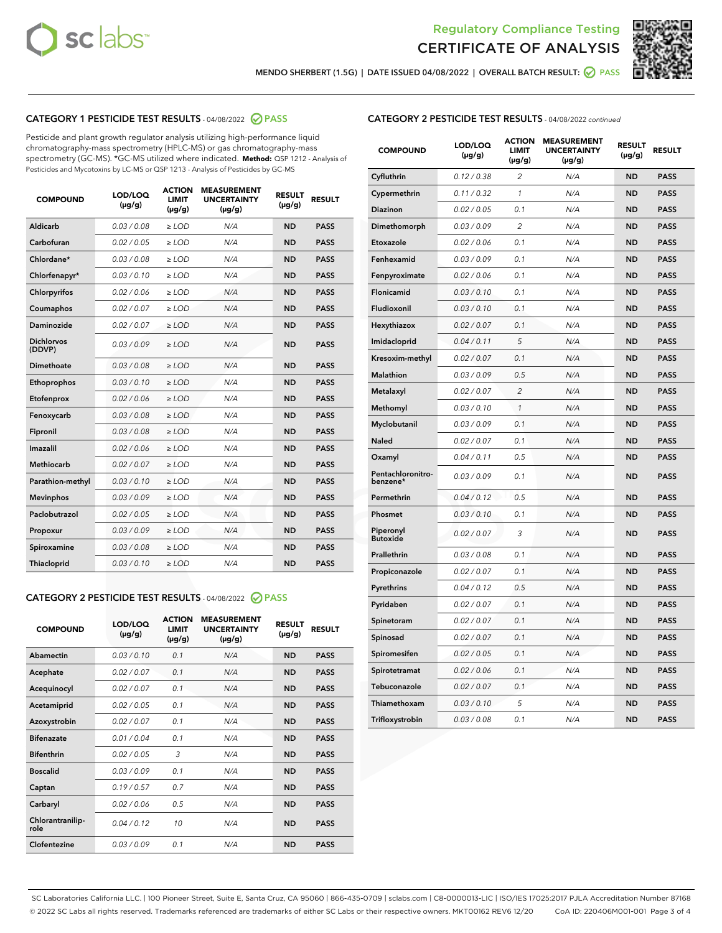



MENDO SHERBERT (1.5G) | DATE ISSUED 04/08/2022 | OVERALL BATCH RESULT: ☑ PASS

# CATEGORY 1 PESTICIDE TEST RESULTS - 04/08/2022 2 PASS

Pesticide and plant growth regulator analysis utilizing high-performance liquid chromatography-mass spectrometry (HPLC-MS) or gas chromatography-mass spectrometry (GC-MS). \*GC-MS utilized where indicated. **Method:** QSP 1212 - Analysis of Pesticides and Mycotoxins by LC-MS or QSP 1213 - Analysis of Pesticides by GC-MS

| <b>COMPOUND</b>             | LOD/LOQ<br>$(\mu g/g)$ | <b>ACTION</b><br><b>LIMIT</b><br>$(\mu g/g)$ | <b>MEASUREMENT</b><br><b>UNCERTAINTY</b><br>$(\mu g/g)$ | <b>RESULT</b><br>$(\mu g/g)$ | <b>RESULT</b> |
|-----------------------------|------------------------|----------------------------------------------|---------------------------------------------------------|------------------------------|---------------|
| Aldicarb                    | 0.03 / 0.08            | $\ge$ LOD                                    | N/A                                                     | <b>ND</b>                    | <b>PASS</b>   |
| Carbofuran                  | 0.02 / 0.05            | $\ge$ LOD                                    | N/A                                                     | <b>ND</b>                    | <b>PASS</b>   |
| Chlordane*                  | 0.03 / 0.08            | $\ge$ LOD                                    | N/A                                                     | <b>ND</b>                    | <b>PASS</b>   |
| Chlorfenapyr*               | 0.03/0.10              | $\ge$ LOD                                    | N/A                                                     | <b>ND</b>                    | <b>PASS</b>   |
| Chlorpyrifos                | 0.02/0.06              | $\ge$ LOD                                    | N/A                                                     | <b>ND</b>                    | <b>PASS</b>   |
| Coumaphos                   | 0.02 / 0.07            | $\geq$ LOD                                   | N/A                                                     | <b>ND</b>                    | <b>PASS</b>   |
| Daminozide                  | 0.02 / 0.07            | $>$ LOD                                      | N/A                                                     | <b>ND</b>                    | <b>PASS</b>   |
| <b>Dichlorvos</b><br>(DDVP) | 0.03/0.09              | $\ge$ LOD                                    | N/A                                                     | <b>ND</b>                    | <b>PASS</b>   |
| Dimethoate                  | 0.03/0.08              | $>$ LOD                                      | N/A                                                     | <b>ND</b>                    | <b>PASS</b>   |
| Ethoprophos                 | 0.03/0.10              | $\ge$ LOD                                    | N/A                                                     | <b>ND</b>                    | <b>PASS</b>   |
| Etofenprox                  | 0.02 / 0.06            | $\geq$ LOD                                   | N/A                                                     | <b>ND</b>                    | <b>PASS</b>   |
| Fenoxycarb                  | 0.03/0.08              | $>$ LOD                                      | N/A                                                     | <b>ND</b>                    | <b>PASS</b>   |
| Fipronil                    | 0.03 / 0.08            | $\ge$ LOD                                    | N/A                                                     | <b>ND</b>                    | <b>PASS</b>   |
| Imazalil                    | 0.02 / 0.06            | $>$ LOD                                      | N/A                                                     | <b>ND</b>                    | <b>PASS</b>   |
| <b>Methiocarb</b>           | 0.02 / 0.07            | $\ge$ LOD                                    | N/A                                                     | <b>ND</b>                    | <b>PASS</b>   |
| Parathion-methyl            | 0.03/0.10              | $\geq$ LOD                                   | N/A                                                     | <b>ND</b>                    | <b>PASS</b>   |
| <b>Mevinphos</b>            | 0.03/0.09              | $\ge$ LOD                                    | N/A                                                     | <b>ND</b>                    | <b>PASS</b>   |
| Paclobutrazol               | 0.02 / 0.05            | $\ge$ LOD                                    | N/A                                                     | <b>ND</b>                    | <b>PASS</b>   |
| Propoxur                    | 0.03/0.09              | $\ge$ LOD                                    | N/A                                                     | <b>ND</b>                    | <b>PASS</b>   |
| Spiroxamine                 | 0.03 / 0.08            | $\ge$ LOD                                    | N/A                                                     | <b>ND</b>                    | <b>PASS</b>   |
| Thiacloprid                 | 0.03/0.10              | $>$ LOD                                      | N/A                                                     | <b>ND</b>                    | <b>PASS</b>   |

# CATEGORY 2 PESTICIDE TEST RESULTS - 04/08/2022 @ PASS

| <b>COMPOUND</b>          | LOD/LOQ<br>$(\mu g/g)$ | <b>ACTION</b><br><b>LIMIT</b><br>$(\mu g/g)$ | <b>MEASUREMENT</b><br><b>UNCERTAINTY</b><br>$(\mu g/g)$ | <b>RESULT</b><br>$(\mu g/g)$ | <b>RESULT</b> |
|--------------------------|------------------------|----------------------------------------------|---------------------------------------------------------|------------------------------|---------------|
| Abamectin                | 0.03/0.10              | 0.1                                          | N/A                                                     | <b>ND</b>                    | <b>PASS</b>   |
| Acephate                 | 0.02/0.07              | 0.1                                          | N/A                                                     | <b>ND</b>                    | <b>PASS</b>   |
| Acequinocyl              | 0.02/0.07              | 0.1                                          | N/A                                                     | <b>ND</b>                    | <b>PASS</b>   |
| Acetamiprid              | 0.02/0.05              | 0.1                                          | N/A                                                     | <b>ND</b>                    | <b>PASS</b>   |
| Azoxystrobin             | 0.02 / 0.07            | 0.1                                          | N/A                                                     | <b>ND</b>                    | <b>PASS</b>   |
| <b>Bifenazate</b>        | 0.01/0.04              | 0.1                                          | N/A                                                     | <b>ND</b>                    | <b>PASS</b>   |
| <b>Bifenthrin</b>        | 0.02 / 0.05            | 3                                            | N/A                                                     | <b>ND</b>                    | <b>PASS</b>   |
| <b>Boscalid</b>          | 0.03/0.09              | 0.1                                          | N/A                                                     | <b>ND</b>                    | <b>PASS</b>   |
| Captan                   | 0.19/0.57              | 0.7                                          | N/A                                                     | <b>ND</b>                    | <b>PASS</b>   |
| Carbaryl                 | 0.02/0.06              | 0.5                                          | N/A                                                     | <b>ND</b>                    | <b>PASS</b>   |
| Chlorantranilip-<br>role | 0.04/0.12              | 10                                           | N/A                                                     | <b>ND</b>                    | <b>PASS</b>   |
| Clofentezine             | 0.03/0.09              | 0.1                                          | N/A                                                     | <b>ND</b>                    | <b>PASS</b>   |

# CATEGORY 2 PESTICIDE TEST RESULTS - 04/08/2022 continued

| <b>COMPOUND</b>               | LOD/LOQ<br>(µg/g) | <b>ACTION</b><br><b>LIMIT</b><br>(µg/g) | <b>MEASUREMENT</b><br><b>UNCERTAINTY</b><br>(µg/g) | <b>RESULT</b><br>(µg/g) | <b>RESULT</b> |
|-------------------------------|-------------------|-----------------------------------------|----------------------------------------------------|-------------------------|---------------|
| Cyfluthrin                    | 0.12 / 0.38       | $\overline{c}$                          | N/A                                                | <b>ND</b>               | <b>PASS</b>   |
| Cypermethrin                  | 0.11 / 0.32       | $\mathcal{I}$                           | N/A                                                | <b>ND</b>               | <b>PASS</b>   |
| <b>Diazinon</b>               | 0.02 / 0.05       | 0.1                                     | N/A                                                | <b>ND</b>               | <b>PASS</b>   |
| Dimethomorph                  | 0.03 / 0.09       | 2                                       | N/A                                                | <b>ND</b>               | <b>PASS</b>   |
| Etoxazole                     | 0.02 / 0.06       | 0.1                                     | N/A                                                | ND                      | <b>PASS</b>   |
| Fenhexamid                    | 0.03 / 0.09       | 0.1                                     | N/A                                                | <b>ND</b>               | <b>PASS</b>   |
| Fenpyroximate                 | 0.02 / 0.06       | 0.1                                     | N/A                                                | <b>ND</b>               | <b>PASS</b>   |
| Flonicamid                    | 0.03/0.10         | 0.1                                     | N/A                                                | <b>ND</b>               | <b>PASS</b>   |
| Fludioxonil                   | 0.03/0.10         | 0.1                                     | N/A                                                | <b>ND</b>               | <b>PASS</b>   |
| Hexythiazox                   | 0.02 / 0.07       | 0.1                                     | N/A                                                | <b>ND</b>               | <b>PASS</b>   |
| Imidacloprid                  | 0.04 / 0.11       | 5                                       | N/A                                                | <b>ND</b>               | <b>PASS</b>   |
| Kresoxim-methyl               | 0.02 / 0.07       | 0.1                                     | N/A                                                | <b>ND</b>               | <b>PASS</b>   |
| Malathion                     | 0.03 / 0.09       | 0.5                                     | N/A                                                | <b>ND</b>               | <b>PASS</b>   |
| Metalaxyl                     | 0.02 / 0.07       | $\overline{c}$                          | N/A                                                | <b>ND</b>               | <b>PASS</b>   |
| Methomyl                      | 0.03 / 0.10       | $\mathcal{I}$                           | N/A                                                | ND                      | <b>PASS</b>   |
| Myclobutanil                  | 0.03 / 0.09       | 0.1                                     | N/A                                                | <b>ND</b>               | <b>PASS</b>   |
| Naled                         | 0.02 / 0.07       | 0.1                                     | N/A                                                | <b>ND</b>               | <b>PASS</b>   |
| Oxamyl                        | 0.04 / 0.11       | 0.5                                     | N/A                                                | <b>ND</b>               | <b>PASS</b>   |
| Pentachloronitro-<br>benzene* | 0.03 / 0.09       | 0.1                                     | N/A                                                | <b>ND</b>               | <b>PASS</b>   |
| Permethrin                    | 0.04 / 0.12       | 0.5                                     | N/A                                                | <b>ND</b>               | <b>PASS</b>   |
| Phosmet                       | 0.03 / 0.10       | 0.1                                     | N/A                                                | ND                      | <b>PASS</b>   |
| Piperonyl<br><b>Butoxide</b>  | 0.02 / 0.07       | 3                                       | N/A                                                | <b>ND</b>               | <b>PASS</b>   |
| Prallethrin                   | 0.03 / 0.08       | 0.1                                     | N/A                                                | <b>ND</b>               | <b>PASS</b>   |
| Propiconazole                 | 0.02 / 0.07       | 0.1                                     | N/A                                                | <b>ND</b>               | <b>PASS</b>   |
| Pyrethrins                    | 0.04 / 0.12       | 0.5                                     | N/A                                                | <b>ND</b>               | <b>PASS</b>   |
| Pyridaben                     | 0.02 / 0.07       | 0.1                                     | N/A                                                | <b>ND</b>               | <b>PASS</b>   |
| Spinetoram                    | 0.02 / 0.07       | 0.1                                     | N/A                                                | <b>ND</b>               | <b>PASS</b>   |
| Spinosad                      | 0.02 / 0.07       | 0.1                                     | N/A                                                | <b>ND</b>               | <b>PASS</b>   |
| Spiromesifen                  | 0.02 / 0.05       | 0.1                                     | N/A                                                | <b>ND</b>               | <b>PASS</b>   |
| Spirotetramat                 | 0.02 / 0.06       | 0.1                                     | N/A                                                | <b>ND</b>               | <b>PASS</b>   |
| Tebuconazole                  | 0.02 / 0.07       | 0.1                                     | N/A                                                | <b>ND</b>               | <b>PASS</b>   |
| Thiamethoxam                  | 0.03 / 0.10       | 5                                       | N/A                                                | <b>ND</b>               | <b>PASS</b>   |
| Trifloxystrobin               | 0.03 / 0.08       | 0.1                                     | N/A                                                | <b>ND</b>               | <b>PASS</b>   |

SC Laboratories California LLC. | 100 Pioneer Street, Suite E, Santa Cruz, CA 95060 | 866-435-0709 | sclabs.com | C8-0000013-LIC | ISO/IES 17025:2017 PJLA Accreditation Number 87168 © 2022 SC Labs all rights reserved. Trademarks referenced are trademarks of either SC Labs or their respective owners. MKT00162 REV6 12/20 CoA ID: 220406M001-001 Page 3 of 4